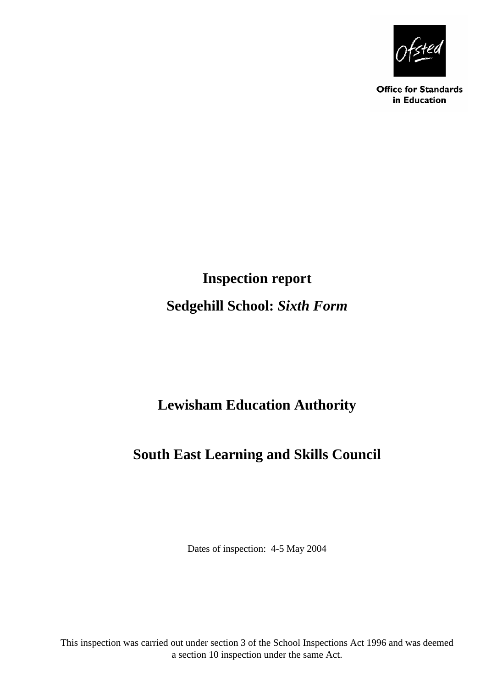

**Office for Standards** in Education

# **Inspection report Sedgehill School:** *Sixth Form*

# **Lewisham Education Authority**

# **South East Learning and Skills Council**

<span id="page-0-1"></span><span id="page-0-0"></span>Dates of inspection: 4-5 May 2004

This inspection was carried out under section 3 of the School Inspections Act 1996 and was deemed a section 10 inspection under the same Act.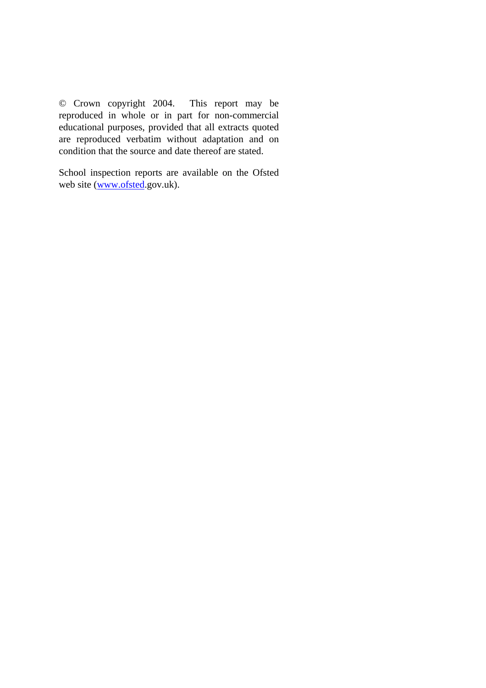© Crown copyright 2004. This report may be reproduced in whole or in part for non-commercial educational purposes, provided that all extracts quoted are reproduced verbatim without adaptation and on condition that the source and date thereof are stated.

School inspection reports are available on the Ofsted web site ([www.ofsted](http://www.ofsted/).gov.uk).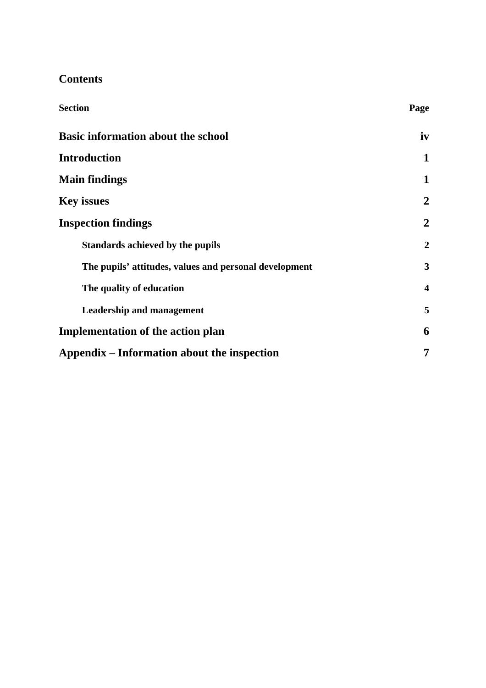## **Contents**

| <b>Section</b>                                         | Page             |
|--------------------------------------------------------|------------------|
| <b>Basic information about the school</b>              | iv               |
| <b>Introduction</b>                                    | 1                |
| <b>Main findings</b>                                   | 1                |
| <b>Key issues</b>                                      | $\boldsymbol{2}$ |
| <b>Inspection findings</b>                             | $\boldsymbol{2}$ |
| Standards achieved by the pupils                       | $\overline{2}$   |
| The pupils' attitudes, values and personal development | 3                |
| The quality of education                               | $\boldsymbol{4}$ |
| <b>Leadership and management</b>                       | 5                |
| <b>Implementation of the action plan</b>               | 6                |
| Appendix – Information about the inspection            | 7                |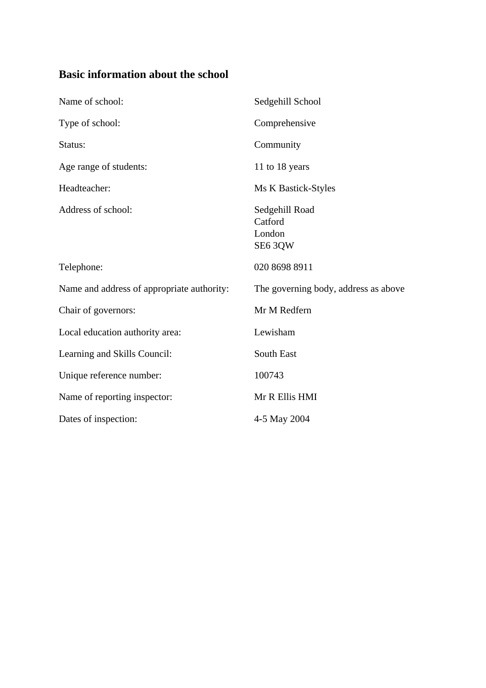## <span id="page-3-0"></span>**Basic information about the school**

<span id="page-3-2"></span><span id="page-3-1"></span>

| Name of school:                            | Sedgehill School                               |
|--------------------------------------------|------------------------------------------------|
| Type of school:                            | Comprehensive                                  |
| Status:                                    | Community                                      |
| Age range of students:                     | 11 to 18 years                                 |
| Headteacher:                               | Ms K Bastick-Styles                            |
| Address of school:                         | Sedgehill Road<br>Catford<br>London<br>SE6 3QW |
| Telephone:                                 | 020 8698 8911                                  |
| Name and address of appropriate authority: | The governing body, address as above           |
| Chair of governors:                        | Mr M Redfern                                   |
| Local education authority area:            | Lewisham                                       |
| Learning and Skills Council:               | South East                                     |
| Unique reference number:                   | 100743                                         |
| Name of reporting inspector:               | Mr R Ellis HMI                                 |
| Dates of inspection:                       | 4-5 May 2004                                   |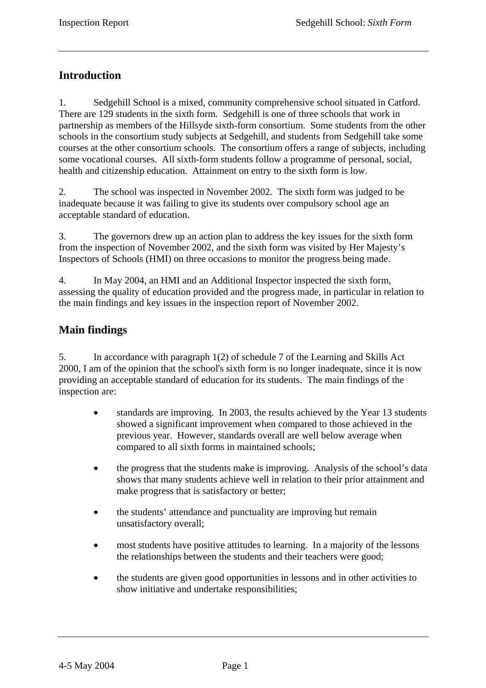## <span id="page-4-0"></span>**Introduction**

1. [Sedgehill](#page-3-1) School is a mixed, community comprehensive school situated in [Catford.](#page-3-2) There are 129 students in the sixth form. Sedgehill is one of three schools that work in partnership as members of the Hillsyde sixth-form consortium. Some students from the other schools in the consortium study subjects at Sedgehill, and students from Sedgehill take some courses at the other consortium schools. The consortium offers a range of subjects, including some vocational courses. All sixth-form students follow a programme of personal, social, health and citizenship education. Attainment on entry to the sixth form is low.

2. The school was inspected in November 2002. The sixth form was judged to be inadequate because it was failing to give its students over compulsory school age an acceptable standard of education.

3. The governors drew up an action plan to address the key issues for the sixth form from the inspection of November 2002, and the sixth form was visited by Her Majesty's Inspectors of Schools (HMI) on three occasions to monitor the progress being made.

4. In May 2004, an HMI and an Additional Inspector inspected the sixth form, assessing the quality of education provided and the progress made, in particular in relation to the main findings and key issues in the inspection report of November 2002.

### **Main findings**

5. In accordance with paragraph 1(2) of schedule 7 of the Learning and Skills Act 2000, I am of the opinion that the school's sixth form is no longer inadequate, since it is now providing an acceptable standard of education for its students. The main findings of the inspection are:

- standards are improving. In 2003, the results achieved by the Year 13 students showed a significant improvement when compared to those achieved in the previous year. However, standards overall are well below average when compared to all sixth forms in maintained schools;
- the progress that the students make is improving. Analysis of the school's data shows that many students achieve well in relation to their prior attainment and make progress that is satisfactory or better;
- the students' attendance and punctuality are improving but remain unsatisfactory overall;
- most students have positive attitudes to learning. In a majority of the lessons the relationships between the students and their teachers were good;
- the students are given good opportunities in lessons and in other activities to show initiative and undertake responsibilities;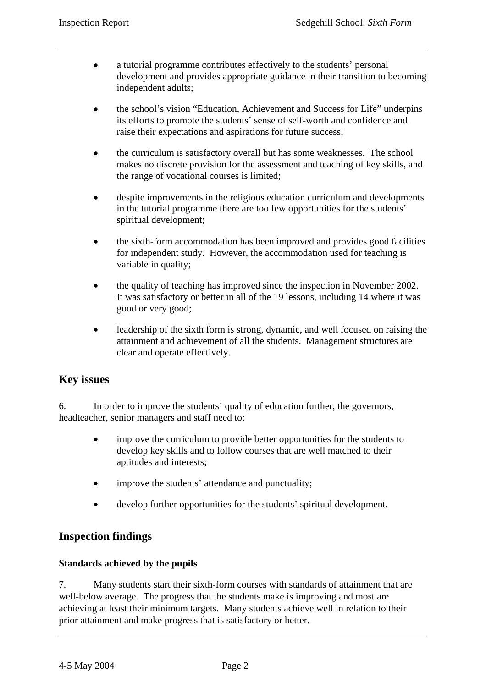- <span id="page-5-0"></span>• a tutorial programme contributes effectively to the students' personal development and provides appropriate guidance in their transition to becoming independent adults;
- the school's vision "Education, Achievement and Success for Life" underpins its efforts to promote the students' sense of self-worth and confidence and raise their expectations and aspirations for future success;
- the curriculum is satisfactory overall but has some weaknesses. The school makes no discrete provision for the assessment and teaching of key skills, and the range of vocational courses is limited;
- despite improvements in the religious education curriculum and developments in the tutorial programme there are too few opportunities for the students' spiritual development;
- the sixth-form accommodation has been improved and provides good facilities for independent study. However, the accommodation used for teaching is variable in quality;
- the quality of teaching has improved since the inspection in November 2002. It was satisfactory or better in all of the 19 lessons, including 14 where it was good or very good;
- leadership of the sixth form is strong, dynamic, and well focused on raising the attainment and achievement of all the students. Management structures are clear and operate effectively.

#### **Key issues**

6. In order to improve the students' quality of education further, the governors, headteacher, senior managers and staff need to:

- improve the curriculum to provide better opportunities for the students to develop key skills and to follow courses that are well matched to their aptitudes and interests;
- improve the students' attendance and punctuality;
- develop further opportunities for the students' spiritual development.

#### **Inspection findings**

#### **Standards achieved by the pupils**

7. Many students start their sixth-form courses with standards of attainment that are well-below average. The progress that the students make is improving and most are achieving at least their minimum targets. Many students achieve well in relation to their prior attainment and make progress that is satisfactory or better.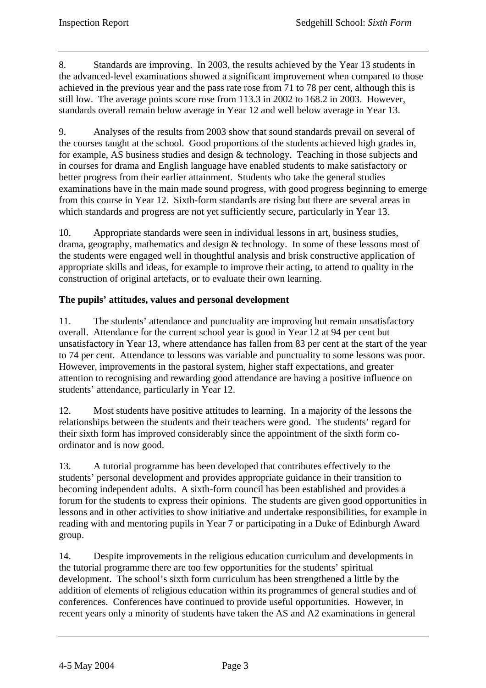<span id="page-6-0"></span>8. Standards are improving. In 2003, the results achieved by the Year 13 students in the advanced-level examinations showed a significant improvement when compared to those achieved in the previous year and the pass rate rose from 71 to 78 per cent, although this is still low. The average points score rose from 113.3 in 2002 to 168.2 in 2003. However, standards overall remain below average in Year 12 and well below average in Year 13.

9. Analyses of the results from 2003 show that sound standards prevail on several of the courses taught at the school. Good proportions of the students achieved high grades in, for example, AS business studies and design & technology. Teaching in those subjects and in courses for drama and English language have enabled students to make satisfactory or better progress from their earlier attainment. Students who take the general studies examinations have in the main made sound progress, with good progress beginning to emerge from this course in Year 12. Sixth-form standards are rising but there are several areas in which standards and progress are not yet sufficiently secure, particularly in Year 13.

10. Appropriate standards were seen in individual lessons in art, business studies, drama, geography, mathematics and design & technology. In some of these lessons most of the students were engaged well in thoughtful analysis and brisk constructive application of appropriate skills and ideas, for example to improve their acting, to attend to quality in the construction of original artefacts, or to evaluate their own learning.

#### **The pupils' attitudes, values and personal development**

11. The students' attendance and punctuality are improving but remain unsatisfactory overall. Attendance for the current school year is good in Year 12 at 94 per cent but unsatisfactory in Year 13, where attendance has fallen from 83 per cent at the start of the year to 74 per cent. Attendance to lessons was variable and punctuality to some lessons was poor. However, improvements in the pastoral system, higher staff expectations, and greater attention to recognising and rewarding good attendance are having a positive influence on students' attendance, particularly in Year 12.

12. Most students have positive attitudes to learning. In a majority of the lessons the relationships between the students and their teachers were good. The students' regard for their sixth form has improved considerably since the appointment of the sixth form coordinator and is now good.

13. A tutorial programme has been developed that contributes effectively to the students' personal development and provides appropriate guidance in their transition to becoming independent adults. A sixth-form council has been established and provides a forum for the students to express their opinions. The students are given good opportunities in lessons and in other activities to show initiative and undertake responsibilities, for example in reading with and mentoring pupils in Year 7 or participating in a Duke of Edinburgh Award group.

14. Despite improvements in the religious education curriculum and developments in the tutorial programme there are too few opportunities for the students' spiritual development. The school's sixth form curriculum has been strengthened a little by the addition of elements of religious education within its programmes of general studies and of conferences. Conferences have continued to provide useful opportunities. However, in recent years only a minority of students have taken the AS and A2 examinations in general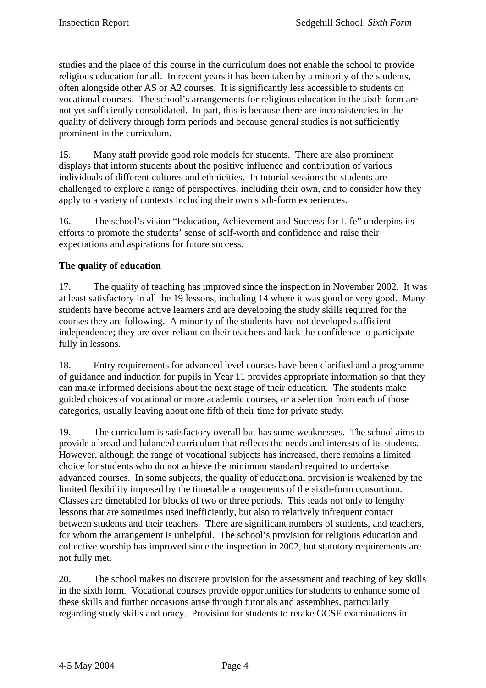<span id="page-7-0"></span>studies and the place of this course in the curriculum does not enable the school to provide religious education for all. In recent years it has been taken by a minority of the students, often alongside other AS or A2 courses. It is significantly less accessible to students on vocational courses. The school's arrangements for religious education in the sixth form are not yet sufficiently consolidated. In part, this is because there are inconsistencies in the quality of delivery through form periods and because general studies is not sufficiently prominent in the curriculum.

15. Many staff provide good role models for students. There are also prominent displays that inform students about the positive influence and contribution of various individuals of different cultures and ethnicities. In tutorial sessions the students are challenged to explore a range of perspectives, including their own, and to consider how they apply to a variety of contexts including their own sixth-form experiences.

16. The school's vision "Education, Achievement and Success for Life" underpins its efforts to promote the students' sense of self-worth and confidence and raise their expectations and aspirations for future success.

#### **The quality of education**

17. The quality of teaching has improved since the inspection in November 2002. It was at least satisfactory in all the 19 lessons, including 14 where it was good or very good. Many students have become active learners and are developing the study skills required for the courses they are following. A minority of the students have not developed sufficient independence; they are over-reliant on their teachers and lack the confidence to participate fully in lessons.

18. Entry requirements for advanced level courses have been clarified and a programme of guidance and induction for pupils in Year 11 provides appropriate information so that they can make informed decisions about the next stage of their education. The students make guided choices of vocational or more academic courses, or a selection from each of those categories, usually leaving about one fifth of their time for private study.

19. The curriculum is satisfactory overall but has some weaknesses. The school aims to provide a broad and balanced curriculum that reflects the needs and interests of its students. However, although the range of vocational subjects has increased, there remains a limited choice for students who do not achieve the minimum standard required to undertake advanced courses. In some subjects, the quality of educational provision is weakened by the limited flexibility imposed by the timetable arrangements of the sixth-form consortium. Classes are timetabled for blocks of two or three periods. This leads not only to lengthy lessons that are sometimes used inefficiently, but also to relatively infrequent contact between students and their teachers. There are significant numbers of students, and teachers, for whom the arrangement is unhelpful. The school's provision for religious education and collective worship has improved since the inspection in 2002, but statutory requirements are not fully met.

20. The school makes no discrete provision for the assessment and teaching of key skills in the sixth form. Vocational courses provide opportunities for students to enhance some of these skills and further occasions arise through tutorials and assemblies, particularly regarding study skills and oracy. Provision for students to retake GCSE examinations in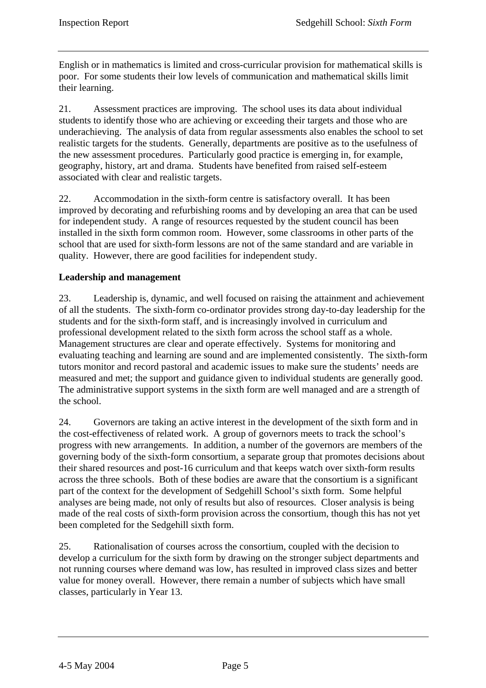<span id="page-8-0"></span>English or in mathematics is limited and cross-curricular provision for mathematical skills is poor. For some students their low levels of communication and mathematical skills limit their learning.

21. Assessment practices are improving. The school uses its data about individual students to identify those who are achieving or exceeding their targets and those who are underachieving. The analysis of data from regular assessments also enables the school to set realistic targets for the students. Generally, departments are positive as to the usefulness of the new assessment procedures. Particularly good practice is emerging in, for example, geography, history, art and drama. Students have benefited from raised self-esteem associated with clear and realistic targets.

22. Accommodation in the sixth-form centre is satisfactory overall. It has been improved by decorating and refurbishing rooms and by developing an area that can be used for independent study. A range of resources requested by the student council has been installed in the sixth form common room. However, some classrooms in other parts of the school that are used for sixth-form lessons are not of the same standard and are variable in quality. However, there are good facilities for independent study.

#### **Leadership and management**

23. Leadership is, dynamic, and well focused on raising the attainment and achievement of all the students. The sixth-form co-ordinator provides strong day-to-day leadership for the students and for the sixth-form staff, and is increasingly involved in curriculum and professional development related to the sixth form across the school staff as a whole. Management structures are clear and operate effectively. Systems for monitoring and evaluating teaching and learning are sound and are implemented consistently. The sixth-form tutors monitor and record pastoral and academic issues to make sure the students' needs are measured and met; the support and guidance given to individual students are generally good. The administrative support systems in the sixth form are well managed and are a strength of the school.

24. Governors are taking an active interest in the development of the sixth form and in the cost-effectiveness of related work. A group of governors meets to track the school's progress with new arrangements. In addition, a number of the governors are members of the governing body of the sixth-form consortium, a separate group that promotes decisions about their shared resources and post-16 curriculum and that keeps watch over sixth-form results across the three schools. Both of these bodies are aware that the consortium is a significant part of the context for the development of Sedgehill School's sixth form. Some helpful analyses are being made, not only of results but also of resources. Closer analysis is being made of the real costs of sixth-form provision across the consortium, though this has not yet been completed for the Sedgehill sixth form.

25. Rationalisation of courses across the consortium, coupled with the decision to develop a curriculum for the sixth form by drawing on the stronger subject departments and not running courses where demand was low, has resulted in improved class sizes and better value for money overall. However, there remain a number of subjects which have small classes, particularly in Year 13.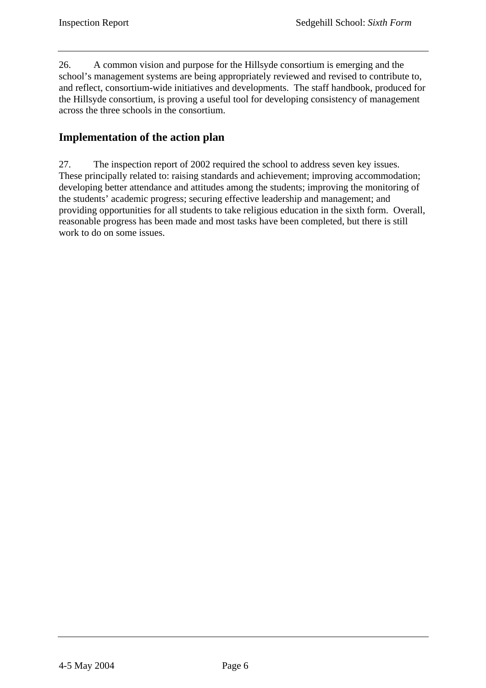<span id="page-9-0"></span>26. A common vision and purpose for the Hillsyde consortium is emerging and the school's management systems are being appropriately reviewed and revised to contribute to, and reflect, consortium-wide initiatives and developments. The staff handbook, produced for the Hillsyde consortium, is proving a useful tool for developing consistency of management across the three schools in the consortium.

### **Implementation of the action plan**

27. The inspection report of 2002 required the school to address seven key issues. These principally related to: raising standards and achievement; improving accommodation; developing better attendance and attitudes among the students; improving the monitoring of the students' academic progress; securing effective leadership and management; and providing opportunities for all students to take religious education in the sixth form. Overall, reasonable progress has been made and most tasks have been completed, but there is still work to do on some issues.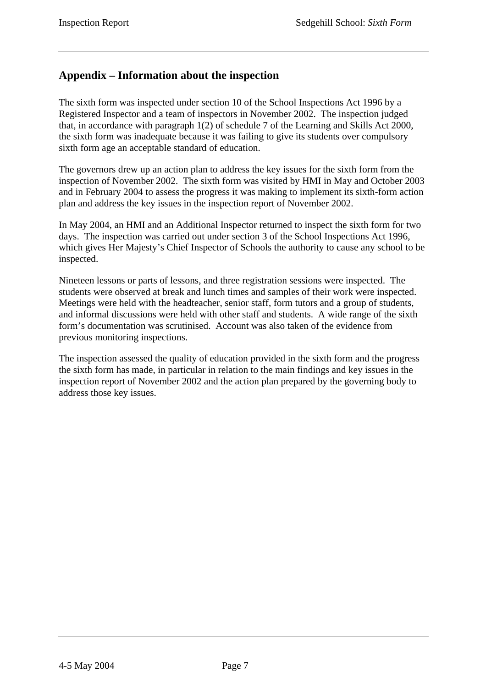#### <span id="page-10-0"></span>**Appendix – Information about the inspection**

The sixth form was inspected under section 10 of the School Inspections Act 1996 by a Registered Inspector and a team of inspectors in November 2002. The inspection judged that, in accordance with paragraph 1(2) of schedule 7 of the Learning and Skills Act 2000, the sixth form was inadequate because it was failing to give its students over compulsory sixth form age an acceptable standard of education.

The governors drew up an action plan to address the key issues for the sixth form from the inspection of November 2002. The sixth form was visited by HMI in May and October 2003 and in February 2004 to assess the progress it was making to implement its sixth-form action plan and address the key issues in the inspection report of November 2002.

In May 2004, an HMI and an Additional Inspector returned to inspect the sixth form for two days. The inspection was carried out under section 3 of the School Inspections Act 1996, which gives Her Majesty's Chief Inspector of Schools the authority to cause any school to be inspected.

Nineteen lessons or parts of lessons, and three registration sessions were inspected. The students were observed at break and lunch times and samples of their work were inspected. Meetings were held with the headteacher, senior staff, form tutors and a group of students, and informal discussions were held with other staff and students. A wide range of the sixth form's documentation was scrutinised. Account was also taken of the evidence from previous monitoring inspections.

The inspection assessed the quality of education provided in the sixth form and the progress the sixth form has made, in particular in relation to the main findings and key issues in the inspection report of November 2002 and the action plan prepared by the governing body to address those key issues.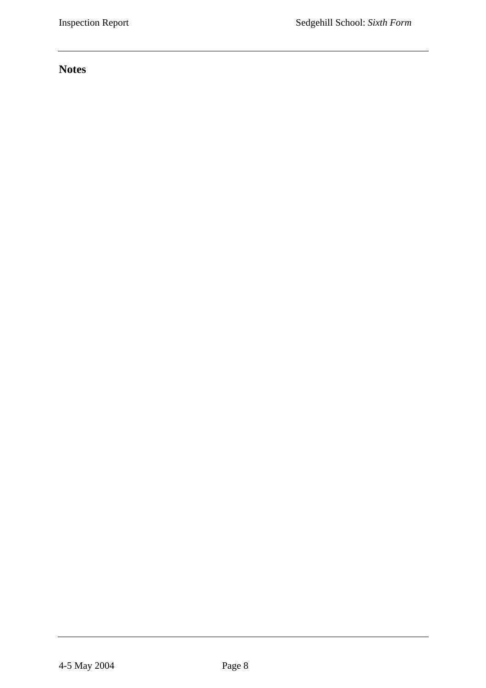# **Notes**